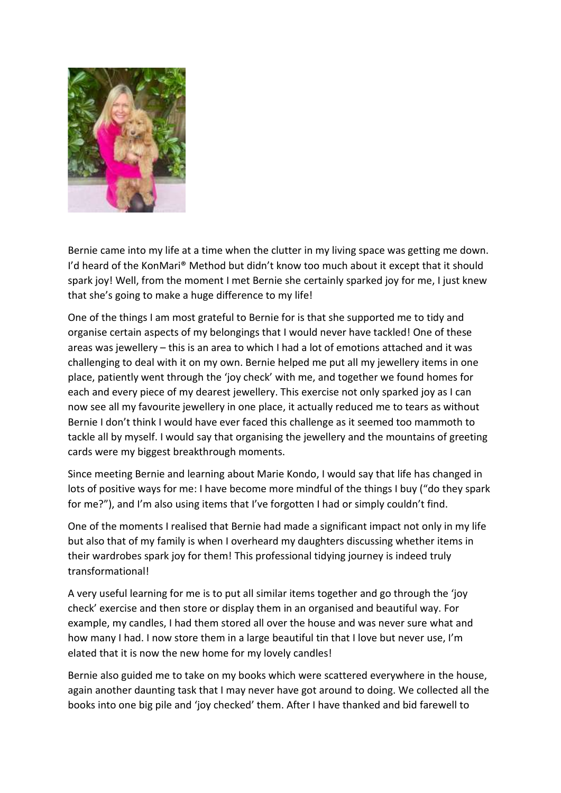

Bernie came into my life at a time when the clutter in my living space was getting me down. I'd heard of the KonMari® Method but didn't know too much about it except that it should spark joy! Well, from the moment I met Bernie she certainly sparked joy for me, I just knew that she's going to make a huge difference to my life!

One of the things I am most grateful to Bernie for is that she supported me to tidy and organise certain aspects of my belongings that I would never have tackled! One of these areas was jewellery – this is an area to which I had a lot of emotions attached and it was challenging to deal with it on my own. Bernie helped me put all my jewellery items in one place, patiently went through the 'joy check' with me, and together we found homes for each and every piece of my dearest jewellery. This exercise not only sparked joy as I can now see all my favourite jewellery in one place, it actually reduced me to tears as without Bernie I don't think I would have ever faced this challenge as it seemed too mammoth to tackle all by myself. I would say that organising the jewellery and the mountains of greeting cards were my biggest breakthrough moments.

Since meeting Bernie and learning about Marie Kondo, I would say that life has changed in lots of positive ways for me: I have become more mindful of the things I buy ("do they spark for me?"), and I'm also using items that I've forgotten I had or simply couldn't find.

One of the moments I realised that Bernie had made a significant impact not only in my life but also that of my family is when I overheard my daughters discussing whether items in their wardrobes spark joy for them! This professional tidying journey is indeed truly transformational!

A very useful learning for me is to put all similar items together and go through the 'joy check' exercise and then store or display them in an organised and beautiful way. For example, my candles, I had them stored all over the house and was never sure what and how many I had. I now store them in a large beautiful tin that I love but never use, I'm elated that it is now the new home for my lovely candles!

Bernie also guided me to take on my books which were scattered everywhere in the house, again another daunting task that I may never have got around to doing. We collected all the books into one big pile and 'joy checked' them. After I have thanked and bid farewell to